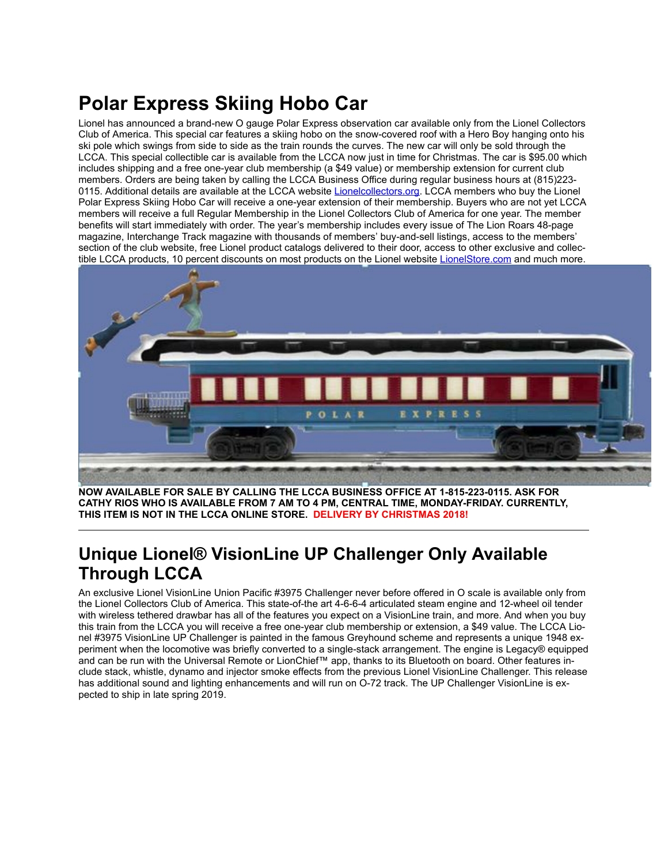## **Polar Express Skiing Hobo Car**

Lionel has announced a brand-new O gauge Polar Express observation car available only from the Lionel Collectors Club of America. This special car features a skiing hobo on the snow-covered roof with a Hero Boy hanging onto his ski pole which swings from side to side as the train rounds the curves. The new car will only be sold through the LCCA. This special collectible car is available from the LCCA now just in time for Christmas. The car is \$95.00 which includes shipping and a free one-year club membership (a \$49 value) or membership extension for current club members. Orders are being taken by calling the LCCA Business Office during regular business hours at (815)223- 0115. Additional details are available at the LCCA website [Lionelcollectors.org.](http://lionelcollectors.org/) LCCA members who buy the Lionel Polar Express Skiing Hobo Car will receive a one-year extension of their membership. Buyers who are not yet LCCA members will receive a full Regular Membership in the Lionel Collectors Club of America for one year. The member benefits will start immediately with order. The year's membership includes every issue of The Lion Roars 48-page magazine, Interchange Track magazine with thousands of members' buy-and-sell listings, access to the members' section of the club website, free Lionel product catalogs delivered to their door, access to other exclusive and collec-tible LCCA products, 10 percent discounts on most products on the Lionel website [LionelStore.com](http://lionelstore.com/) and much more.



**NOW AVAILABLE FOR SALE BY CALLING THE LCCA BUSINESS OFFICE AT 1-815-223-0115. ASK FOR CATHY RIOS WHO IS AVAILABLE FROM 7 AM TO 4 PM, CENTRAL TIME, MONDAY-FRIDAY. CURRENTLY, THIS ITEM IS NOT IN THE LCCA ONLINE STORE. DELIVERY BY CHRISTMAS 2018!**

## **Unique Lionel® VisionLine UP Challenger Only Available Through LCCA**

An exclusive Lionel VisionLine Union Pacific #3975 Challenger never before offered in O scale is available only from the Lionel Collectors Club of America. This state-of-the art 4-6-6-4 articulated steam engine and 12-wheel oil tender with wireless tethered drawbar has all of the features you expect on a VisionLine train, and more. And when you buy this train from the LCCA you will receive a free one-year club membership or extension, a \$49 value. The LCCA Lionel #3975 VisionLine UP Challenger is painted in the famous Greyhound scheme and represents a unique 1948 experiment when the locomotive was briefly converted to a single-stack arrangement. The engine is Legacy® equipped and can be run with the Universal Remote or LionChief™ app, thanks to its Bluetooth on board. Other features include stack, whistle, dynamo and injector smoke effects from the previous Lionel VisionLine Challenger. This release has additional sound and lighting enhancements and will run on O-72 track. The UP Challenger VisionLine is expected to ship in late spring 2019.